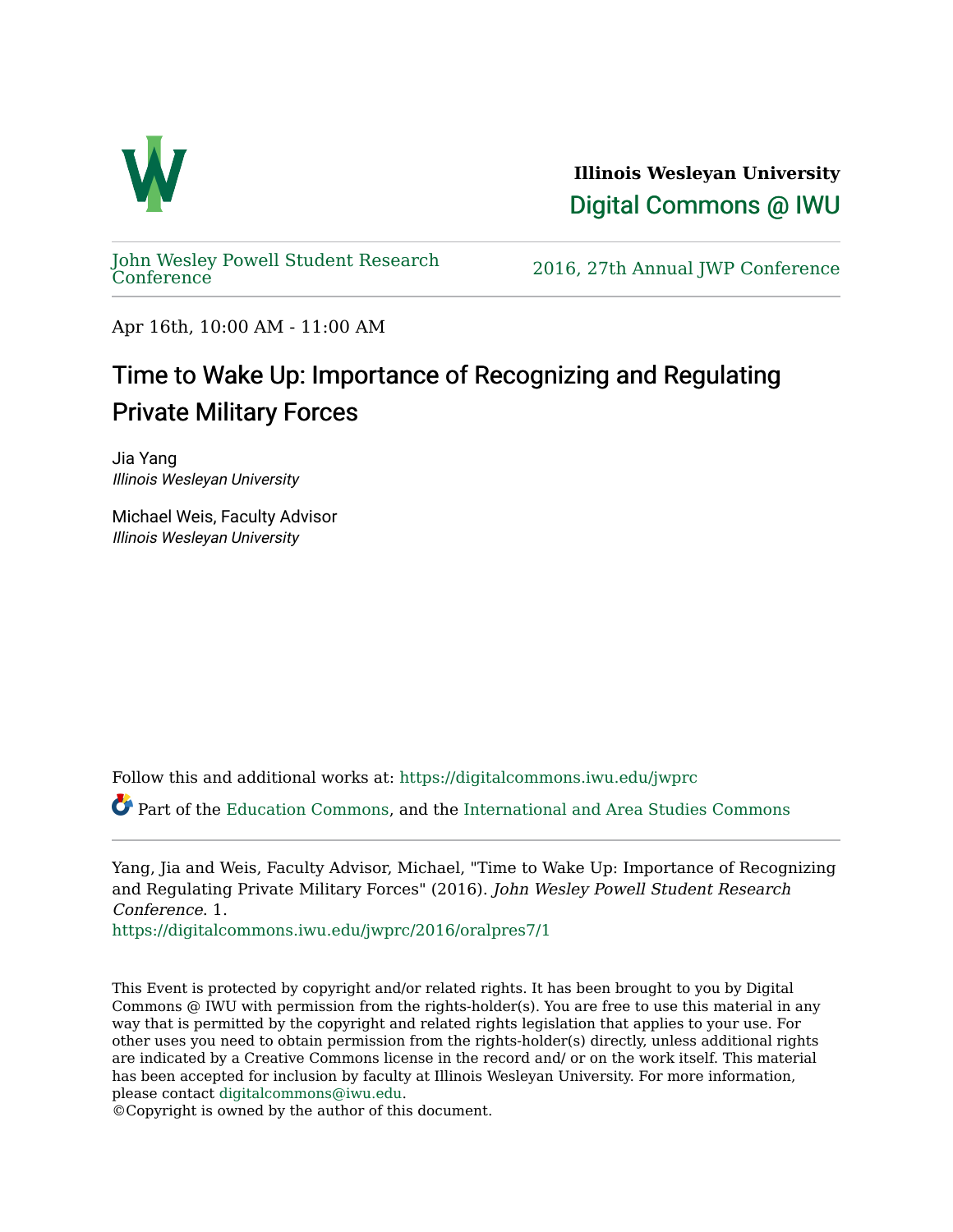

**Illinois Wesleyan University**  [Digital Commons @ IWU](https://digitalcommons.iwu.edu/) 

[John Wesley Powell Student Research](https://digitalcommons.iwu.edu/jwprc) 

2016, 27th Annual JWP [Conference](https://digitalcommons.iwu.edu/jwprc)

Apr 16th, 10:00 AM - 11:00 AM

## Time to Wake Up: Importance of Recognizing and Regulating Private Military Forces

Jia Yang Illinois Wesleyan University

Michael Weis, Faculty Advisor Illinois Wesleyan University

Follow this and additional works at: [https://digitalcommons.iwu.edu/jwprc](https://digitalcommons.iwu.edu/jwprc?utm_source=digitalcommons.iwu.edu%2Fjwprc%2F2016%2Foralpres7%2F1&utm_medium=PDF&utm_campaign=PDFCoverPages) 

Part of the [Education Commons](http://network.bepress.com/hgg/discipline/784?utm_source=digitalcommons.iwu.edu%2Fjwprc%2F2016%2Foralpres7%2F1&utm_medium=PDF&utm_campaign=PDFCoverPages), and the [International and Area Studies Commons](http://network.bepress.com/hgg/discipline/360?utm_source=digitalcommons.iwu.edu%2Fjwprc%2F2016%2Foralpres7%2F1&utm_medium=PDF&utm_campaign=PDFCoverPages) 

Yang, Jia and Weis, Faculty Advisor, Michael, "Time to Wake Up: Importance of Recognizing and Regulating Private Military Forces" (2016). John Wesley Powell Student Research Conference. 1.

[https://digitalcommons.iwu.edu/jwprc/2016/oralpres7/1](https://digitalcommons.iwu.edu/jwprc/2016/oralpres7/1?utm_source=digitalcommons.iwu.edu%2Fjwprc%2F2016%2Foralpres7%2F1&utm_medium=PDF&utm_campaign=PDFCoverPages)

This Event is protected by copyright and/or related rights. It has been brought to you by Digital Commons @ IWU with permission from the rights-holder(s). You are free to use this material in any way that is permitted by the copyright and related rights legislation that applies to your use. For other uses you need to obtain permission from the rights-holder(s) directly, unless additional rights are indicated by a Creative Commons license in the record and/ or on the work itself. This material has been accepted for inclusion by faculty at Illinois Wesleyan University. For more information, please contact [digitalcommons@iwu.edu.](mailto:digitalcommons@iwu.edu)

©Copyright is owned by the author of this document.